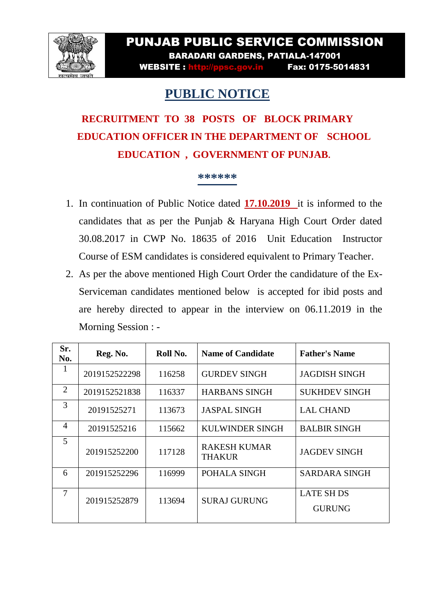

## PUNJAB PUBLIC SERVICE COMMISSION BARADARI GARDENS, PATIALA-147001

WEBSITE : http://ppsc.gov.in Fax: 0175-5014831

## **PUBLIC NOTICE**

## **RECRUITMENT TO 38 POSTS OF BLOCK PRIMARY EDUCATION OFFICER IN THE DEPARTMENT OF SCHOOL EDUCATION , GOVERNMENT OF PUNJAB.**

## **\*\*\*\*\*\***

- 1. In continuation of Public Notice dated **17.10.2019** it is informed to the candidates that as per the Punjab & Haryana High Court Order dated 30.08.2017 in CWP No. 18635 of 2016 Unit Education Instructor Course of ESM candidates is considered equivalent to Primary Teacher.
- 2. As per the above mentioned High Court Order the candidature of the Ex-Serviceman candidates mentioned below is accepted for ibid posts and are hereby directed to appear in the interview on 06.11.2019 in the Morning Session : -

| Sr.<br>No.     | Reg. No.      | Roll No. | <b>Name of Candidate</b>             | <b>Father's Name</b>               |
|----------------|---------------|----------|--------------------------------------|------------------------------------|
| $\bf{I}$       | 2019152522298 | 116258   | <b>GURDEV SINGH</b>                  | <b>JAGDISH SINGH</b>               |
| $\overline{2}$ | 2019152521838 | 116337   | <b>HARBANS SINGH</b>                 | <b>SUKHDEV SINGH</b>               |
| 3              | 20191525271   | 113673   | <b>JASPAL SINGH</b>                  | <b>LAL CHAND</b>                   |
| $\overline{4}$ | 20191525216   | 115662   | <b>KULWINDER SINGH</b>               | <b>BALBIR SINGH</b>                |
| 5              | 201915252200  | 117128   | <b>RAKESH KUMAR</b><br><b>THAKUR</b> | <b>JAGDEV SINGH</b>                |
| 6              | 201915252296  | 116999   | POHALA SINGH                         | <b>SARDARA SINGH</b>               |
| 7              | 201915252879  | 113694   | <b>SURAJ GURUNG</b>                  | <b>LATE SH DS</b><br><b>GURUNG</b> |